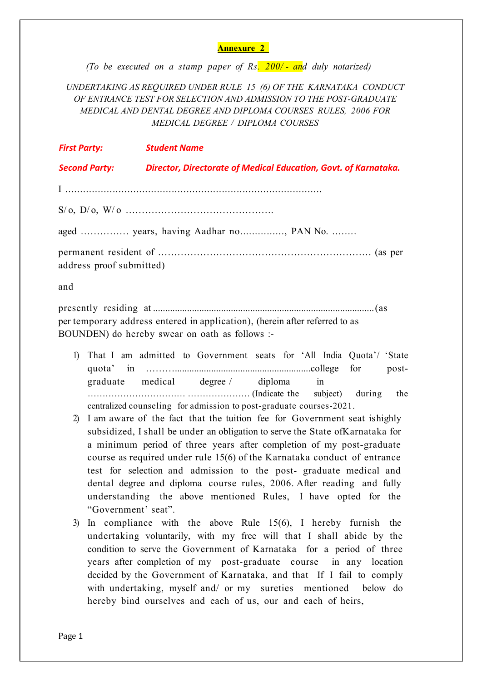#### Annexure 2

(To be executed on a stamp paper of Rs.  $200/-$  and duly notarized)

UNDERTAKING AS REQUIRED UNDER RULE 15 (6) OF THE KARNATAKA CONDUCT OF ENTRANCE TEST FOR SELECTION AND ADMISSION TO THE POST-GRADUATE MEDICAL AND DENTAL DEGREE AND DIPLOMA COURSES RULES, 2006 FOR MEDICAL DEGREE / DIPLOMA COURSES

| <b>First Party:</b>                    | <b>Student Name</b>                                             |  |  |  |
|----------------------------------------|-----------------------------------------------------------------|--|--|--|
| <b>Second Party:</b>                   | Director, Directorate of Medical Education, Govt. of Karnataka. |  |  |  |
|                                        |                                                                 |  |  |  |
|                                        |                                                                 |  |  |  |
| aged  years, having Aadhar no, PAN No. |                                                                 |  |  |  |
| address proof submitted)               |                                                                 |  |  |  |

and

presently residing at ........................................................................................... (as per temporary address entered in application), (herein after referred to as BOUNDEN) do hereby swear on oath as follows :-

- 1) That I am admitted to Government seats for 'All India Quota'/ 'State quota' in ………………………………………………………………………....college for postgraduate medical degree / diploma in …………………………… ………………… (Indicate the subject) during the centralized counseling for admission to post-graduate courses-2021.
- 2) I am aware of the fact that the tuition fee for Government seat is highly subsidized, I shall be under an obligation to serve the State of Karnataka for a minimum period of three years after completion of my post-graduate course as required under rule 15(6) of the Karnataka conduct of entrance test for selection and admission to the post- graduate medical and dental degree and diploma course rules, 2006. After reading and fully understanding the above mentioned Rules, I have opted for the "Government' seat".
- 3) In compliance with the above Rule 15(6), I hereby furnish the undertaking voluntarily, with my free will that I shall abide by the condition to serve the Government of Karnataka for a period of three years after completion of my post-graduate course in any location decided by the Government of Karnataka, and that If I fail to comply with undertaking, myself and/ or my sureties mentioned below do hereby bind ourselves and each of us, our and each of heirs,